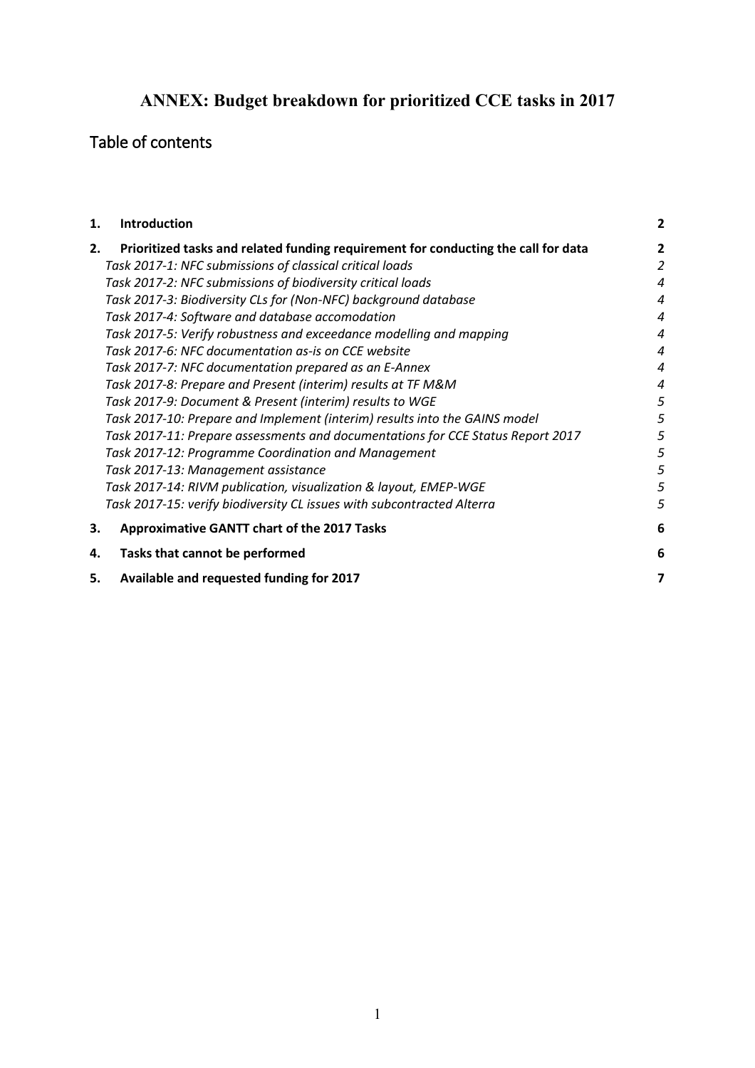# **ANNEX: Budget breakdown for prioritized CCE tasks in 2017**

# Table of contents

| 1. | <b>Introduction</b>                                                                | 2 |
|----|------------------------------------------------------------------------------------|---|
| 2. | Prioritized tasks and related funding requirement for conducting the call for data | 2 |
|    | Task 2017-1: NFC submissions of classical critical loads                           | 2 |
|    | Task 2017-2: NFC submissions of biodiversity critical loads                        | 4 |
|    | Task 2017-3: Biodiversity CLs for (Non-NFC) background database                    | 4 |
|    | Task 2017-4: Software and database accomodation                                    | 4 |
|    | Task 2017-5: Verify robustness and exceedance modelling and mapping                | 4 |
|    | Task 2017-6: NFC documentation as-is on CCE website                                | 4 |
|    | Task 2017-7: NFC documentation prepared as an E-Annex                              | 4 |
|    | Task 2017-8: Prepare and Present (interim) results at TF M&M                       | 4 |
|    | Task 2017-9: Document & Present (interim) results to WGE                           | 5 |
|    | Task 2017-10: Prepare and Implement (interim) results into the GAINS model         | 5 |
|    | Task 2017-11: Prepare assessments and documentations for CCE Status Report 2017    | 5 |
|    | Task 2017-12: Programme Coordination and Management                                | 5 |
|    | Task 2017-13: Management assistance                                                | 5 |
|    | Task 2017-14: RIVM publication, visualization & layout, EMEP-WGE                   | 5 |
|    | Task 2017-15: verify biodiversity CL issues with subcontracted Alterra             | 5 |
| 3. | <b>Approximative GANTT chart of the 2017 Tasks</b>                                 | 6 |
| 4. | Tasks that cannot be performed                                                     | 6 |
| 5. | Available and requested funding for 2017                                           | 7 |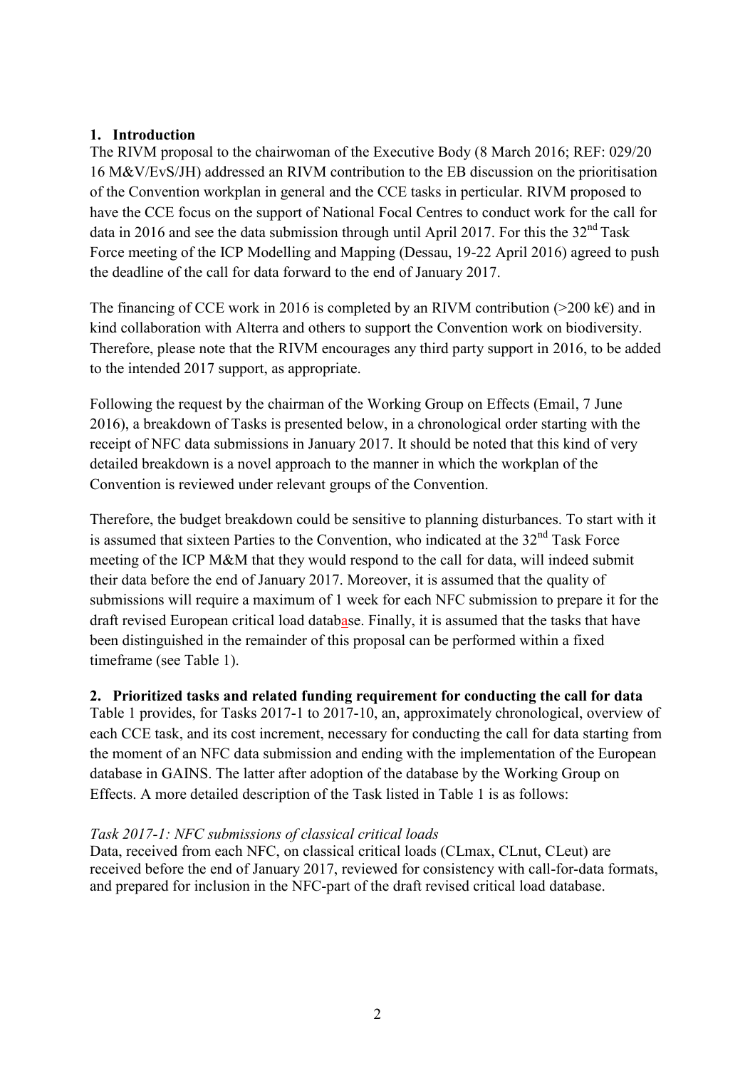# <span id="page-1-0"></span>**1. Introduction**

The RIVM proposal to the chairwoman of the Executive Body (8 March 2016; REF: 029/20 16 M&V/EvS/JH) addressed an RIVM contribution to the EB discussion on the prioritisation of the Convention workplan in general and the CCE tasks in perticular. RIVM proposed to have the CCE focus on the support of National Focal Centres to conduct work for the call for data in 2016 and see the data submission through until April 2017. For this the  $32<sup>nd</sup>$  Task Force meeting of the ICP Modelling and Mapping (Dessau, 19-22 April 2016) agreed to push the deadline of the call for data forward to the end of January 2017.

The financing of CCE work in 2016 is completed by an RIVM contribution ( $>200 \text{ kg}$ ) and in kind collaboration with Alterra and others to support the Convention work on biodiversity. Therefore, please note that the RIVM encourages any third party support in 2016, to be added to the intended 2017 support, as appropriate.

Following the request by the chairman of the Working Group on Effects (Email, 7 June 2016), a breakdown of Tasks is presented below, in a chronological order starting with the receipt of NFC data submissions in January 2017. It should be noted that this kind of very detailed breakdown is a novel approach to the manner in which the workplan of the Convention is reviewed under relevant groups of the Convention.

Therefore, the budget breakdown could be sensitive to planning disturbances. To start with it is assumed that sixteen Parties to the Convention, who indicated at the  $32<sup>nd</sup>$  Task Force meeting of the ICP M&M that they would respond to the call for data, will indeed submit their data before the end of January 2017. Moreover, it is assumed that the quality of submissions will require a maximum of 1 week for each NFC submission to prepare it for the draft revised European critical load database. Finally, it is assumed that the tasks that have been distinguished in the remainder of this proposal can be performed within a fixed timeframe (see Table 1).

<span id="page-1-1"></span>**2. Prioritized tasks and related funding requirement for conducting the call for data**

Table 1 provides, for Tasks 2017-1 to 2017-10, an, approximately chronological, overview of each CCE task, and its cost increment, necessary for conducting the call for data starting from the moment of an NFC data submission and ending with the implementation of the European database in GAINS. The latter after adoption of the database by the Working Group on Effects. A more detailed description of the Task listed in Table 1 is as follows:

# <span id="page-1-2"></span>*Task 2017-1: NFC submissions of classical critical loads*

Data, received from each NFC, on classical critical loads (CLmax, CLnut, CLeut) are received before the end of January 2017, reviewed for consistency with call-for-data formats, and prepared for inclusion in the NFC-part of the draft revised critical load database.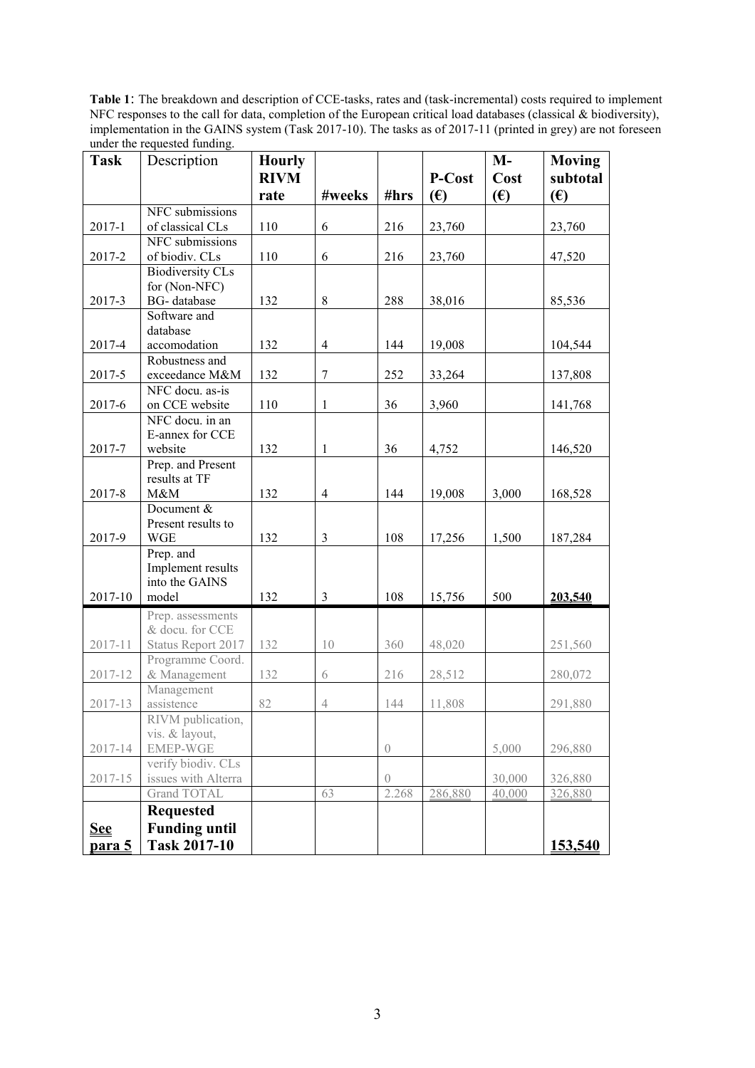**Table 1**: The breakdown and description of CCE-tasks, rates and (task-incremental) costs required to implement NFC responses to the call for data, completion of the European critical load databases (classical & biodiversity), implementation in the GAINS system (Task 2017-10). The tasks as of 2017-11 (printed in grey) are not foreseen under the requested funding.

<span id="page-2-0"></span>

| <b>Task</b>                                                             | Description                                                                                                                                                                                                                                                                     | <b>Hourly</b> |                  |                              |                             | $M -$                     | <b>Moving</b>                                                  |
|-------------------------------------------------------------------------|---------------------------------------------------------------------------------------------------------------------------------------------------------------------------------------------------------------------------------------------------------------------------------|---------------|------------------|------------------------------|-----------------------------|---------------------------|----------------------------------------------------------------|
|                                                                         |                                                                                                                                                                                                                                                                                 | <b>RIVM</b>   |                  |                              | P-Cost                      | Cost                      | subtotal                                                       |
|                                                                         |                                                                                                                                                                                                                                                                                 | rate          | #weeks           | #hrs                         | (E)                         | (E)                       | (E)                                                            |
|                                                                         | NFC submissions                                                                                                                                                                                                                                                                 |               |                  |                              |                             |                           |                                                                |
| 2017-1                                                                  | of classical CLs                                                                                                                                                                                                                                                                | 110           | $\sqrt{6}$       | 216                          | 23,760                      |                           | 23,760                                                         |
|                                                                         | NFC submissions                                                                                                                                                                                                                                                                 |               |                  |                              |                             |                           |                                                                |
| 2017-2                                                                  | of biodiv. CLs                                                                                                                                                                                                                                                                  | 110           | 6                | 216                          | 23,760                      |                           | 47,520                                                         |
|                                                                         | <b>Biodiversity CLs</b><br>for (Non-NFC)                                                                                                                                                                                                                                        |               |                  |                              |                             |                           |                                                                |
| 2017-3                                                                  | BG-database                                                                                                                                                                                                                                                                     | 132           | $8\,$            | 288                          | 38,016                      |                           | 85,536                                                         |
|                                                                         | Software and                                                                                                                                                                                                                                                                    |               |                  |                              |                             |                           |                                                                |
|                                                                         | database                                                                                                                                                                                                                                                                        |               |                  |                              |                             |                           |                                                                |
| 2017-4                                                                  | accomodation                                                                                                                                                                                                                                                                    | 132           | $\overline{4}$   | 144                          | 19,008                      |                           | 104,544                                                        |
|                                                                         | Robustness and                                                                                                                                                                                                                                                                  |               |                  |                              |                             |                           |                                                                |
| 2017-5                                                                  | exceedance M&M                                                                                                                                                                                                                                                                  | 132           | $\boldsymbol{7}$ | 252                          | 33,264                      |                           | 137,808                                                        |
|                                                                         | NFC docu. as-is                                                                                                                                                                                                                                                                 |               |                  |                              |                             |                           |                                                                |
| 2017-6                                                                  | on CCE website                                                                                                                                                                                                                                                                  | 110           | 1                | 36                           | 3,960                       |                           | 141,768                                                        |
|                                                                         | NFC docu. in an<br>E-annex for CCE                                                                                                                                                                                                                                              |               |                  |                              |                             |                           |                                                                |
| 2017-7                                                                  | website                                                                                                                                                                                                                                                                         | 132           | $\mathbf{1}$     | 36                           | 4,752                       |                           | 146,520                                                        |
|                                                                         | Prep. and Present                                                                                                                                                                                                                                                               |               |                  |                              |                             |                           |                                                                |
|                                                                         | results at TF                                                                                                                                                                                                                                                                   |               |                  |                              |                             |                           |                                                                |
| 2017-8                                                                  | M&M                                                                                                                                                                                                                                                                             | 132           | $\overline{4}$   | 144                          | 19,008                      | 3,000                     | 168,528                                                        |
|                                                                         | Document &                                                                                                                                                                                                                                                                      |               |                  |                              |                             |                           |                                                                |
|                                                                         | Present results to                                                                                                                                                                                                                                                              |               |                  |                              |                             |                           |                                                                |
| 2017-9                                                                  | <b>WGE</b>                                                                                                                                                                                                                                                                      | 132           | $\mathfrak{Z}$   | 108                          | 17,256                      | 1,500                     | 187,284                                                        |
|                                                                         | Prep. and                                                                                                                                                                                                                                                                       |               |                  |                              |                             |                           |                                                                |
|                                                                         | Implement results<br>into the GAINS                                                                                                                                                                                                                                             |               |                  |                              |                             |                           |                                                                |
| 2017-10                                                                 | model                                                                                                                                                                                                                                                                           | 132           | $\mathfrak{Z}$   | 108                          | 15,756                      | 500                       | 203,540                                                        |
|                                                                         |                                                                                                                                                                                                                                                                                 |               |                  |                              |                             |                           |                                                                |
|                                                                         |                                                                                                                                                                                                                                                                                 |               |                  |                              |                             |                           |                                                                |
|                                                                         |                                                                                                                                                                                                                                                                                 |               | 10               |                              |                             |                           |                                                                |
|                                                                         | Programme Coord.                                                                                                                                                                                                                                                                |               |                  |                              |                             |                           |                                                                |
| 2017-12                                                                 | & Management                                                                                                                                                                                                                                                                    | 132           | 6                | 216                          | 28,512                      |                           | 280,072                                                        |
|                                                                         |                                                                                                                                                                                                                                                                                 |               |                  |                              |                             |                           |                                                                |
|                                                                         |                                                                                                                                                                                                                                                                                 |               |                  |                              |                             |                           |                                                                |
|                                                                         |                                                                                                                                                                                                                                                                                 |               |                  |                              |                             |                           |                                                                |
|                                                                         |                                                                                                                                                                                                                                                                                 |               |                  |                              |                             |                           |                                                                |
|                                                                         |                                                                                                                                                                                                                                                                                 |               |                  |                              |                             |                           |                                                                |
|                                                                         |                                                                                                                                                                                                                                                                                 |               |                  | $\left( \right)$             |                             |                           |                                                                |
|                                                                         |                                                                                                                                                                                                                                                                                 |               |                  | 2.268                        |                             |                           |                                                                |
|                                                                         |                                                                                                                                                                                                                                                                                 |               |                  |                              |                             |                           |                                                                |
|                                                                         |                                                                                                                                                                                                                                                                                 |               |                  |                              |                             |                           |                                                                |
|                                                                         |                                                                                                                                                                                                                                                                                 |               |                  |                              |                             |                           |                                                                |
| 2017-11<br>2017-13<br>2017-14<br>2017-15<br><u>See</u><br><u>para 5</u> | Prep. assessments<br>& docu. for CCE<br>Status Report 2017<br>Management<br>assistence<br>RIVM publication,<br>vis. & layout,<br><b>EMEP-WGE</b><br>verify biodiv. CLs<br>issues with Alterra<br>Grand TOTAL<br><b>Requested</b><br><b>Funding until</b><br><b>Task 2017-10</b> | 132<br>82     | $\sqrt{4}$<br>63 | 360<br>144<br>$\overline{0}$ | 48,020<br>11,808<br>286,880 | 5,000<br>30,000<br>40,000 | 251,560<br>291,880<br>296,880<br>326,880<br>326,880<br>153,540 |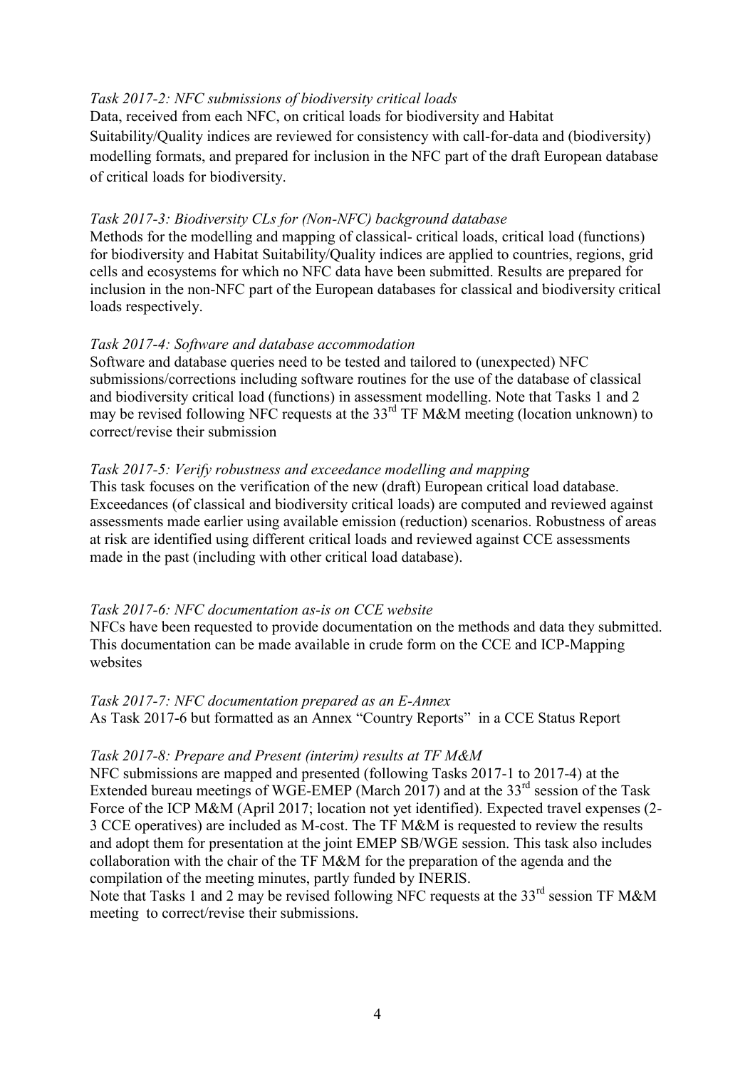# *Task 2017-2: NFC submissions of biodiversity critical loads*

Data, received from each NFC, on critical loads for biodiversity and Habitat Suitability/Quality indices are reviewed for consistency with call-for-data and (biodiversity) modelling formats, and prepared for inclusion in the NFC part of the draft European database of critical loads for biodiversity.

# <span id="page-3-0"></span>*Task 2017-3: Biodiversity CLs for (Non-NFC) background database*

Methods for the modelling and mapping of classical- critical loads, critical load (functions) for biodiversity and Habitat Suitability/Quality indices are applied to countries, regions, grid cells and ecosystems for which no NFC data have been submitted. Results are prepared for inclusion in the non-NFC part of the European databases for classical and biodiversity critical loads respectively.

# <span id="page-3-1"></span>*Task 2017-4: Software and database accommodation*

Software and database queries need to be tested and tailored to (unexpected) NFC submissions/corrections including software routines for the use of the database of classical and biodiversity critical load (functions) in assessment modelling. Note that Tasks 1 and 2 may be revised following NFC requests at the  $33<sup>rd</sup>$  TF M&M meeting (location unknown) to correct/revise their submission

# <span id="page-3-2"></span>*Task 2017-5: Verify robustness and exceedance modelling and mapping*

This task focuses on the verification of the new (draft) European critical load database. Exceedances (of classical and biodiversity critical loads) are computed and reviewed against assessments made earlier using available emission (reduction) scenarios. Robustness of areas at risk are identified using different critical loads and reviewed against CCE assessments made in the past (including with other critical load database).

# <span id="page-3-3"></span>*Task 2017-6: NFC documentation as-is on CCE website*

NFCs have been requested to provide documentation on the methods and data they submitted. This documentation can be made available in crude form on the CCE and ICP-Mapping websites

#### <span id="page-3-4"></span>*Task 2017-7: NFC documentation prepared as an E-Annex*

As Task 2017-6 but formatted as an Annex "Country Reports" in a CCE Status Report

#### <span id="page-3-5"></span>*Task 2017-8: Prepare and Present (interim) results at TF M&M*

NFC submissions are mapped and presented (following Tasks 2017-1 to 2017-4) at the Extended bureau meetings of WGE-EMEP (March 2017) and at the 33<sup>rd</sup> session of the Task Force of the ICP M&M (April 2017; location not yet identified). Expected travel expenses (2- 3 CCE operatives) are included as M-cost. The TF M&M is requested to review the results and adopt them for presentation at the joint EMEP SB/WGE session. This task also includes collaboration with the chair of the TF M&M for the preparation of the agenda and the compilation of the meeting minutes, partly funded by INERIS.

Note that Tasks 1 and 2 may be revised following NFC requests at the  $33<sup>rd</sup>$  session TF M&M meeting to correct/revise their submissions.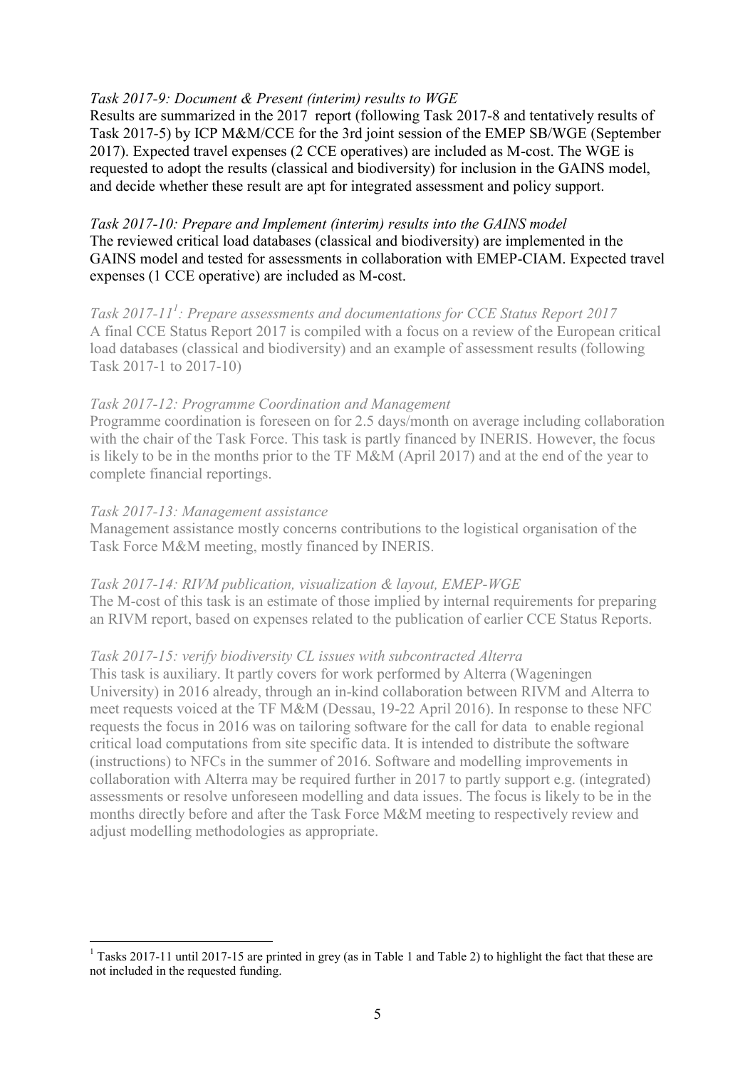# <span id="page-4-0"></span>*Task 2017-9: Document & Present (interim) results to WGE*

Results are summarized in the 2017 report (following Task 2017-8 and tentatively results of Task 2017-5) by ICP M&M/CCE for the 3rd joint session of the EMEP SB/WGE (September 2017). Expected travel expenses (2 CCE operatives) are included as M-cost. The WGE is requested to adopt the results (classical and biodiversity) for inclusion in the GAINS model, and decide whether these result are apt for integrated assessment and policy support.

<span id="page-4-1"></span>*Task 2017-10: Prepare and Implement (interim) results into the GAINS model* The reviewed critical load databases (classical and biodiversity) are implemented in the GAINS model and tested for assessments in collaboration with EMEP-CIAM. Expected travel expenses (1 CCE operative) are included as M-cost.

<span id="page-4-2"></span>*Task 2017-11<sup>1</sup> : Prepare assessments and documentations for CCE Status Report 2017* A final CCE Status Report 2017 is compiled with a focus on a review of the European critical load databases (classical and biodiversity) and an example of assessment results (following Task 2017-1 to 2017-10)

# <span id="page-4-3"></span>*Task 2017-12: Programme Coordination and Management*

Programme coordination is foreseen on for 2.5 days/month on average including collaboration with the chair of the Task Force. This task is partly financed by INERIS. However, the focus is likely to be in the months prior to the TF M&M (April 2017) and at the end of the year to complete financial reportings.

# <span id="page-4-4"></span>*Task 2017-13: Management assistance*

 $\overline{a}$ 

Management assistance mostly concerns contributions to the logistical organisation of the Task Force M&M meeting, mostly financed by INERIS.

#### <span id="page-4-5"></span>*Task 2017-14: RIVM publication, visualization & layout, EMEP-WGE*

The M-cost of this task is an estimate of those implied by internal requirements for preparing an RIVM report, based on expenses related to the publication of earlier CCE Status Reports.

#### <span id="page-4-6"></span>*Task 2017-15: verify biodiversity CL issues with subcontracted Alterra*

This task is auxiliary. It partly covers for work performed by Alterra (Wageningen University) in 2016 already, through an in-kind collaboration between RIVM and Alterra to meet requests voiced at the TF M&M (Dessau, 19-22 April 2016). In response to these NFC requests the focus in 2016 was on tailoring software for the call for data to enable regional critical load computations from site specific data. It is intended to distribute the software (instructions) to NFCs in the summer of 2016. Software and modelling improvements in collaboration with Alterra may be required further in 2017 to partly support e.g. (integrated) assessments or resolve unforeseen modelling and data issues. The focus is likely to be in the months directly before and after the Task Force M&M meeting to respectively review and adjust modelling methodologies as appropriate.

 $1$  Tasks 2017-11 until 2017-15 are printed in grey (as in Table 1 and Table 2) to highlight the fact that these are not included in the requested funding.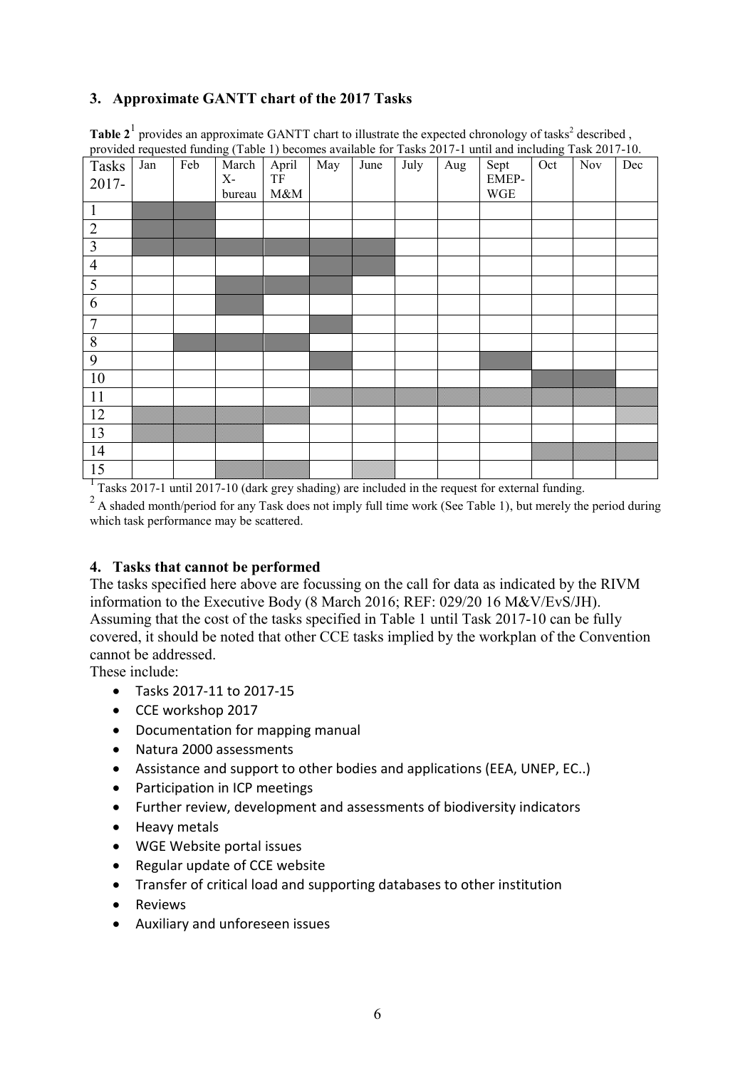# <span id="page-5-0"></span>**3. Approximate GANTT chart of the 2017 Tasks**

| $\mathbf{r}$<br>Tasks<br>2017- | $\mathbf{r}$<br>Jan | Feb | $\sim$ $\sim$<br>March<br>$X-$<br>bureau | $\overline{\phantom{a}}$<br>April<br>$\ensuremath{\mathsf{T}}\ensuremath{\mathsf{F}}$<br>$M\&M$ | May | June | July | Aug | Sept<br>EMEP-<br><b>WGE</b> | $\tilde{\phantom{a}}$<br>Oct | $\overline{N}$ ov | Dec |
|--------------------------------|---------------------|-----|------------------------------------------|-------------------------------------------------------------------------------------------------|-----|------|------|-----|-----------------------------|------------------------------|-------------------|-----|
| $\mathbf{1}$                   |                     |     |                                          |                                                                                                 |     |      |      |     |                             |                              |                   |     |
| $\overline{2}$                 |                     |     |                                          |                                                                                                 |     |      |      |     |                             |                              |                   |     |
| $\overline{\mathbf{3}}$        |                     |     |                                          |                                                                                                 |     |      |      |     |                             |                              |                   |     |
| $\overline{4}$                 |                     |     |                                          |                                                                                                 |     |      |      |     |                             |                              |                   |     |
| $\overline{5}$                 |                     |     |                                          |                                                                                                 |     |      |      |     |                             |                              |                   |     |
| $\overline{6}$                 |                     |     |                                          |                                                                                                 |     |      |      |     |                             |                              |                   |     |
| $\overline{7}$                 |                     |     |                                          |                                                                                                 |     |      |      |     |                             |                              |                   |     |
| $\overline{8}$                 |                     |     |                                          |                                                                                                 |     |      |      |     |                             |                              |                   |     |
| $\overline{9}$                 |                     |     |                                          |                                                                                                 |     |      |      |     |                             |                              |                   |     |
| 10                             |                     |     |                                          |                                                                                                 |     |      |      |     |                             |                              |                   |     |
| $11\,$                         |                     |     |                                          |                                                                                                 |     |      |      |     |                             |                              |                   |     |
| 12                             |                     |     |                                          |                                                                                                 |     |      |      |     |                             |                              |                   |     |
| $\overline{13}$                |                     |     |                                          |                                                                                                 |     |      |      |     |                             |                              |                   |     |
| $\overline{14}$                |                     |     |                                          |                                                                                                 |     |      |      |     |                             |                              |                   |     |
| $\overline{15}$                |                     |     |                                          |                                                                                                 |     |      |      |     |                             |                              |                   |     |

Table  $2<sup>1</sup>$  provides an approximate GANTT chart to illustrate the expected chronology of tasks<sup>2</sup> described, provided requested funding (Table 1) becomes available for Tasks 2017-1 until and including Task 2017-10.

<sup>1</sup> Tasks 2017-1 until 2017-10 (dark grey shading) are included in the request for external funding.

 $2A$  shaded month/period for any Task does not imply full time work (See Table 1), but merely the period during which task performance may be scattered.

# <span id="page-5-1"></span>**4. Tasks that cannot be performed**

The tasks specified here above are focussing on the call for data as indicated by the RIVM information to the Executive Body (8 March 2016; REF: 029/20 16 M&V/EvS/JH). Assuming that the cost of the tasks specified in Table 1 until Task 2017-10 can be fully covered, it should be noted that other CCE tasks implied by the workplan of the Convention cannot be addressed.

These include:

- Tasks 2017-11 to 2017-15
- CCE workshop 2017
- Documentation for mapping manual
- Natura 2000 assessments
- Assistance and support to other bodies and applications (EEA, UNEP, EC..)
- Participation in ICP meetings
- Further review, development and assessments of biodiversity indicators
- Heavy metals
- WGE Website portal issues
- Regular update of CCE website
- Transfer of critical load and supporting databases to other institution
- Reviews
- Auxiliary and unforeseen issues